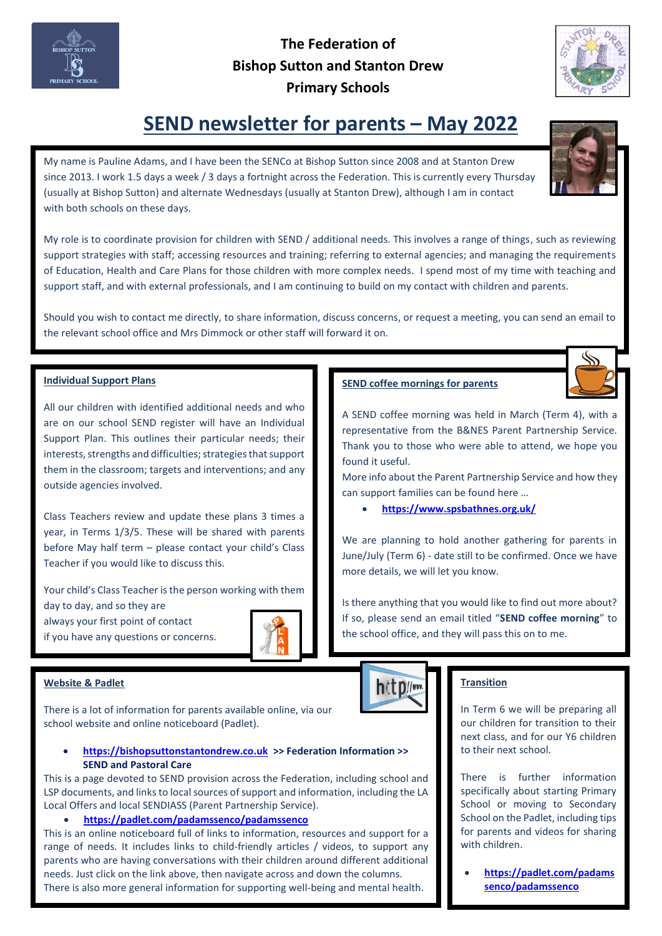

## **The Federation of Bishop Sutton and Stanton Drew Primary Schools**



# **SEND newsletter for parents – May 2022**

My name is Pauline Adams, and I have been the SENCo at Bishop Sutton since 2008 and at Stanton Drew since 2013. I work 1.5 days a week / 3 days a fortnight across the Federation. This is currently every Thursday (usually at Bishop Sutton) and alternate Wednesdays (usually at Stanton Drew), although I am in contact with both schools on these days.



My role is to coordinate provision for children with SEND / additional needs. This involves a range of things, such as reviewing support strategies with staff; accessing resources and training; referring to external agencies; and managing the requirements of Education, Health and Care Plans for those children with more complex needs. I spend most of my time with teaching and support staff, and with external professionals, and I am continuing to build on my contact with children and parents.

Should you wish to contact me directly, to share information, discuss concerns, or request a meeting, you can send an email to the relevant school office and Mrs Dimmock or other staff will forward it on.

### **Individual Support Plans**

All our children with identified additional needs and who are on our school SEND register will have an Individual Support Plan. This outlines their particular needs; their interests, strengths and difficulties; strategies that support them in the classroom; targets and interventions; and any outside agencies involved.

Class Teachers review and update these plans 3 times a year, in Terms 1/3/5. These will be shared with parents before May half term – please contact your child's Class Teacher if you would like to discuss this.

Your child's Class Teacher is the person working with them day to day, and so they are always your first point of contact if you have any questions or concerns.



### **Website & Padlet**

There is a lot of information for parents available online, via our school website and online noticeboard (Padlet).

 **[https://bishopsuttonstantondrew.co.uk](https://bishopsuttonstantondrew.co.uk/) >> Federation Information >> SEND and Pastoral Care**

This is a page devoted to SEND provision across the Federation, including school and LSP documents, and links to local sources of support and information, including the LA Local Offers and local SENDIASS (Parent Partnership Service).

**<https://padlet.com/padamssenco/padamssenco>**

This is an online noticeboard full of links to information, resources and support for a range of needs. It includes links to child-friendly articles / videos, to support any parents who are having conversations with their children around different additional needs. Just click on the link above, then navigate across and down the columns. There is also more general information for supporting well-being and mental health.

### **SEND coffee mornings for parents**



A SEND coffee morning was held in March (Term 4), with a representative from the B&NES Parent Partnership Service. Thank you to those who were able to attend, we hope you found it useful.

More info about the Parent Partnership Service and how they can support families can be found here …

**<https://www.spsbathnes.org.uk/>**

We are planning to hold another gathering for parents in June/July (Term 6) - date still to be confirmed. Once we have more details, we will let you know.

Is there anything that you would like to find out more about? If so, please send an email titled "**SEND coffee morning**" to the school office, and they will pass this on to me.



### **Transition**

In Term 6 we will be preparing all our children for transition to their next class, and for our Y6 children to their next school.

There is further information specifically about starting Primary School or moving to Secondary School on the Padlet, including tips for parents and videos for sharing with children.

 **[https://padlet.com/padams](https://padlet.com/padamssenco/padamssenco) [senco/padamssenco](https://padlet.com/padamssenco/padamssenco)**